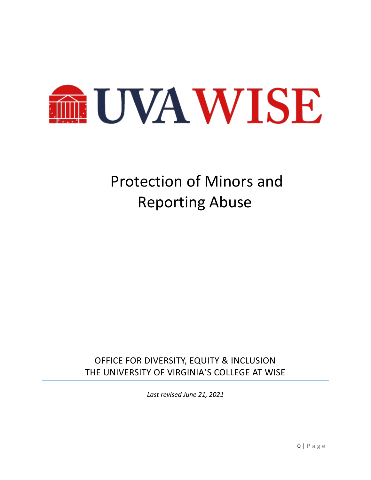

# Protection of Minors and Reporting Abuse

OFFICE FOR DIVERSITY, EQUITY & INCLUSION THE UNIVERSITY OF VIRGINIA'S COLLEGE AT WISE

*Last revised June 21, 2021*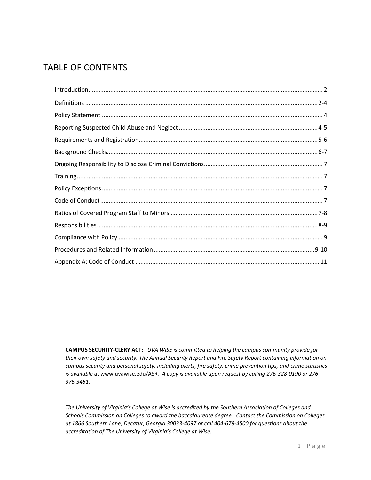# TABLE OF CONTENTS

**CAMPUS SECURITY-CLERY ACT:** *UVA WISE is committed to helping the campus community provide for their own safety and security. The Annual Security Report and Fire Safety Report containing information on campus security and personal safety, including alerts, fire safety, crime prevention tips, and crime statistics is available* at [www.uvawise.edu/ASR](http://www.uvawise.edu/ASR)*. A copy is available upon request by calling 276-328-0190 or 276- 376-3451.*

*The University of Virginia's College at Wise is accredited by the Southern Association of Colleges and Schools Commission on Colleges to award the baccalaureate degree. Contact the Commission on Colleges at 1866 Southern Lane, Decatur, Georgia 30033-4097 or call 404-679-4500 for questions about the accreditation of The University of Virginia's College at Wise.*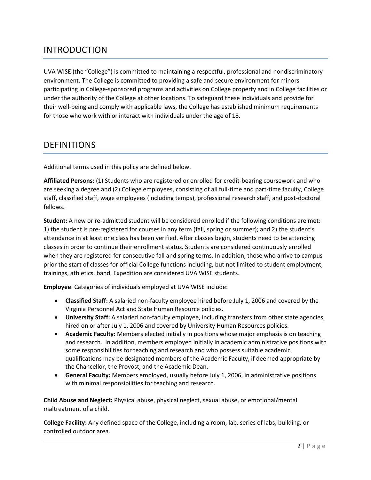# INTRODUCTION

UVA WISE (the "College") is committed to maintaining a respectful, professional and nondiscriminatory environment. The College is committed to providing a safe and secure environment for minors participating in College-sponsored programs and activities on College property and in College facilities or under the authority of the College at other locations. To safeguard these individuals and provide for their well-being and comply with applicable laws, the College has established minimum requirements for those who work with or interact with individuals under the age of 18.

### DEFINITIONS

Additional terms used in this policy are defined below.

**Affiliated Persons:** (1) Students who are registered or enrolled for credit-bearing coursework and who are seeking a degree and (2) College employees, consisting of all full-time and part-time faculty, College staff, classified staff, wage employees (including temps), professional research staff, and post-doctoral fellows.

**Student:** A new or re-admitted student will be considered enrolled if the following conditions are met: 1) the student is pre-registered for courses in any term (fall, spring or summer); and 2) the student's attendance in at least one class has been verified. After classes begin, students need to be attending classes in order to continue their enrollment status. Students are considered continuously enrolled when they are registered for consecutive fall and spring terms. In addition, those who arrive to campus prior the start of classes for official College functions including, but not limited to student employment, trainings, athletics, band, Expedition are considered UVA WISE students.

**Employee**: Categories of individuals employed at UVA WISE include:

- **Classified Staff:** A salaried non-faculty employee hired before July 1, 2006 and covered by the Virginia Personnel Act and State Human Resource policies**.**
- **University Staff:** A salaried non-faculty employee, including transfers from other state agencies, hired on or after July 1, 2006 and covered by University Human Resources policies.
- **Academic Faculty:** Members elected initially in positions whose major emphasis is on teaching and research. In addition, members employed initially in academic administrative positions with some responsibilities for teaching and research and who possess suitable academic qualifications may be designated members of the Academic Faculty, if deemed appropriate by the Chancellor, the Provost, and the Academic Dean.
- **General Faculty:** Members employed, usually before July 1, 2006, in administrative positions with minimal responsibilities for teaching and research.

**Child Abuse and Neglect:** Physical abuse, physical neglect, sexual abuse, or emotional/mental maltreatment of a child.

**College Facility:** Any defined space of the College, including a room, lab, series of labs, building, or controlled outdoor area.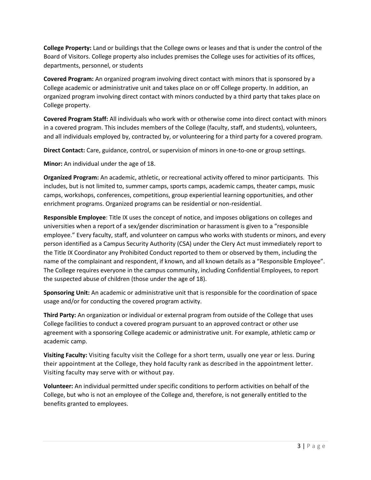**College Property:** Land or buildings that the College owns or leases and that is under the control of the Board of Visitors. College property also includes premises the College uses for activities of its offices, departments, personnel, or students

**Covered Program:** An organized program involving direct contact with minors that is sponsored by a College academic or administrative unit and takes place on or off College property. In addition, an organized program involving direct contact with minors conducted by a third party that takes place on College property.

**Covered Program Staff:** All individuals who work with or otherwise come into direct contact with minors in a covered program. This includes members of the College (faculty, staff, and students), volunteers, and all individuals employed by, contracted by, or volunteering for a third party for a covered program.

**Direct Contact:** Care, guidance, control, or supervision of minors in one-to-one or group settings.

**Minor:** An individual under the age of 18.

**Organized Program:** An academic, athletic, or recreational activity offered to minor participants. This includes, but is not limited to, summer camps, sports camps, academic camps, theater camps, music camps, workshops, conferences, competitions, group experiential learning opportunities, and other enrichment programs. Organized programs can be residential or non-residential.

**Responsible Employee**: Title IX uses the concept of notice, and imposes obligations on colleges and universities when a report of a sex/gender discrimination or harassment is given to a "responsible employee." Every faculty, staff, and volunteer on campus who works with students or minors, and every person identified as a Campus Security Authority (CSA) under the Clery Act must immediately report to the Title IX Coordinator any Prohibited Conduct reported to them or observed by them, including the name of the complainant and respondent, if known, and all known details as a "Responsible Employee". The College requires everyone in the campus community, including Confidential Employees, to report the suspected abuse of children (those under the age of 18).

**Sponsoring Unit:** An academic or administrative unit that is responsible for the coordination of space usage and/or for conducting the covered program activity.

**Third Party:** An organization or individual or external program from outside of the College that uses College facilities to conduct a covered program pursuant to an approved contract or other use agreement with a sponsoring College academic or administrative unit. For example, athletic camp or academic camp.

**Visiting Faculty:** Visiting faculty visit the College for a short term, usually one year or less. During their appointment at the College, they hold faculty rank as described in the appointment letter. Visiting faculty may serve with or without pay.

**Volunteer:** An individual permitted under specific conditions to perform activities on behalf of the College, but who is not an employee of the College and, therefore, is not generally entitled to the benefits granted to employees.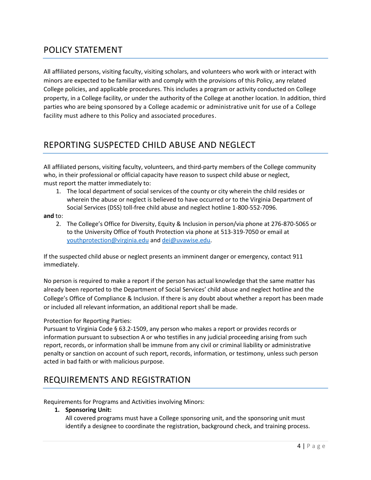### POLICY STATEMENT

All affiliated persons, visiting faculty, visiting scholars, and volunteers who work with or interact with minors are expected to be familiar with and comply with the provisions of this Policy, any related College policies, and applicable procedures. This includes a program or activity conducted on College property, in a College facility, or under the authority of the College at another location. In addition, third parties who are being sponsored by a College academic or administrative unit for use of a College facility must adhere to this Policy and associated procedures.

# REPORTING SUSPECTED CHILD ABUSE AND NEGLECT

All affiliated persons, visiting faculty, volunteers, and third-party members of the College community who, in their professional or official capacity have reason to suspect child abuse or neglect, must report the matter immediately to:

1. The local department of social services of the county or city wherein the child resides or wherein the abuse or neglect is believed to have occurred or to the Virginia Department of Social Services (DSS) toll-free child abuse and neglect hotline 1-800-552-7096.

#### **and** to:

2. The College's Office for Diversity, Equity & Inclusion in person/via phone at 276-870-5065 or to the University Office of Youth Protection via phone at 513-319-7050 or email at [youthprotection@virginia.edu](mailto:youthprotection@virginia.edu) an[d dei@uvawise.edu.](mailto:dei@uvawise.edu)

If the suspected child abuse or neglect presents an imminent danger or emergency, contact 911 immediately.

No person is required to make a report if the person has actual knowledge that the same matter has already been reported to the Department of Social Services' child abuse and neglect hotline and the College's Office of Compliance & Inclusion. If there is any doubt about whether a report has been made or included all relevant information, an additional report shall be made.

#### Protection for Reporting Parties:

Pursuant to Virginia Code § 63.2-1509, any person who makes a report or provides records or information pursuant to subsection A or who testifies in any judicial proceeding arising from such report, records, or information shall be immune from any civil or criminal liability or administrative penalty or sanction on account of such report, records, information, or testimony, unless such person acted in bad faith or with malicious purpose.

### REQUIREMENTS AND REGISTRATION

Requirements for Programs and Activities involving Minors:

#### **1. Sponsoring Unit:**

All covered programs must have a College sponsoring unit, and the sponsoring unit must identify a designee to coordinate the registration, background check, and training process.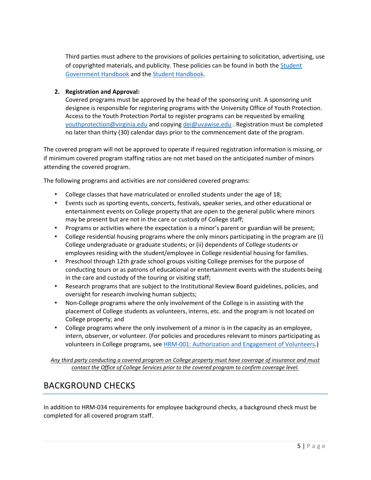Third parties must adhere to the provisions of policies pertaining to solicitation, advertising, use of copyrighted materials, and publicity. These policies can be found in both the [Student](https://www.uvawise.edu/wp-content/uploads/2019/01/Student-Organization-Handbook-2018-2019_Updated.pdf)  [Government Handbook](https://www.uvawise.edu/wp-content/uploads/2019/01/Student-Organization-Handbook-2018-2019_Updated.pdf) and the [Student Handbook.](https://www.uvawise.edu/wp-content/uploads/2018/09/uvawise-student-handbook-2018-2019.pdf)

### **2. Registration and Approval:**

Covered programs must be approved by the head of the sponsoring unit. A sponsoring unit designee is responsible for registering programs with the University Office of Youth Protection. Access to the Youth Protection Portal to register programs can be requested by emailing [youthprotection@virginia.edu](mailto:youthprotection@virginia.edu) and copying [dei@uvawise.edu](mailto:dei@uvawise.edu) . Registration must be completed no later than thirty (30) calendar days prior to the commencement date of the program.

The covered program will not be approved to operate if required registration information is missing, or if minimum covered program staffing ratios are not met based on the anticipated number of minors attending the covered program.

The following programs and activities are *not* considered covered programs:

- College classes that have matriculated or enrolled students under the age of 18;
- Events such as sporting events, concerts, festivals, speaker series, and other educational or entertainment events on College property that are open to the general public where minors may be present but are not in the care or custody of College staff;
- Programs or activities where the expectation is a minor's parent or guardian will be present;
- College residential housing programs where the only minors participating in the program are (i) College undergraduate or graduate students; or (ii) dependents of College students or employees residing with the student/employee in College residential housing for families.
- Preschool through 12th grade school groups visiting College premises for the purpose of conducting tours or as patrons of educational or entertainment events with the students being in the care and custody of the touring or visiting staff;
- Research programs that are subject to the Institutional Review Board guidelines, policies, and oversight for research involving human subjects;
- Non-College programs where the only involvement of the College is in assisting with the placement of College students as volunteers, interns, etc. and the program is not located on College property; and
- College programs where the only involvement of a minor is in the capacity as an employee, intern, observer, or volunteer. (For policies and procedures relevant to minors participating as volunteers in College programs, see [HRM-001: Authorization and Engagement of Volunteers.](https://uvapolicy.virginia.edu/policy/HRM-001))

*Any third party conducting a covered program on College property must have coverage of insurance and must contact the Office of College Services prior to the covered program to confirm coverage level.* 

### BACKGROUND CHECKS

In addition to HRM-034 requirements for employee background checks, a background check must be completed for all covered program staff.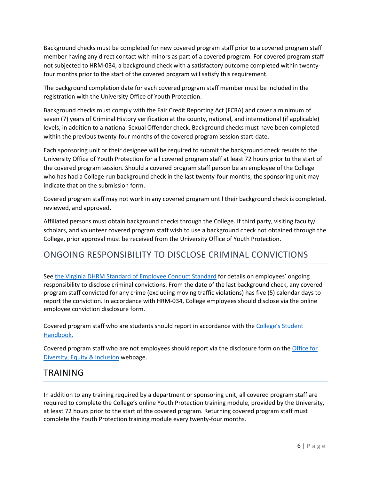Background checks must be completed for new covered program staff prior to a covered program staff member having any direct contact with minors as part of a covered program. For covered program staff not subjected to HRM-034, a background check with a satisfactory outcome completed within twentyfour months prior to the start of the covered program will satisfy this requirement.

The background completion date for each covered program staff member must be included in the registration with the University Office of Youth Protection.

Background checks must comply with the Fair Credit Reporting Act (FCRA) and cover a minimum of seven (7) years of Criminal History verification at the county, national, and international (if applicable) levels, in addition to a national Sexual Offender check. Background checks must have been completed within the previous twenty-four months of the covered program session start-date.

Each sponsoring unit or their designee will be required to submit the background check results to the University Office of Youth Protection for all covered program staff at least 72 hours prior to the start of the covered program session. Should a covered program staff person be an employee of the College who has had a College-run background check in the last twenty-four months, the sponsoring unit may indicate that on the submission form.

Covered program staff may not work in any covered program until their background check is completed, reviewed, and approved.

Affiliated persons must obtain background checks through the College. If third party, visiting faculty/ scholars, and volunteer covered program staff wish to use a background check not obtained through the College, prior approval must be received from the University Office of Youth Protection.

# ONGOING RESPONSIBILITY TO DISCLOSE CRIMINAL CONVICTIONS

Se[e the Virginia DHRM Standard of Employee Conduct Standard](http://www.dhrm.virginia.gov/docs/default-source/hrpolicy/pol1_60.pdf?sfvrsn=2) for details on employees' ongoing responsibility to disclose criminal convictions. From the date of the last background check, any covered program staff convicted for any crime (excluding moving traffic violations) has five (5) calendar days to report the conviction. In accordance with HRM-034, College employees should disclose via the online employee conviction disclosure form.

Covered program staff who are students should report in accordance with the [College's Student](https://www.uvawise.edu/wp-content/uploads/2018/09/uvawise-student-handbook-2018-2019.pdf)  [Handbook.](https://www.uvawise.edu/wp-content/uploads/2018/09/uvawise-student-handbook-2018-2019.pdf)

Covered program staff who are not employees should report via the disclosure form on the [Office for](https://www.uvawise.edu/about/leadership/inclusion)  [Diversity, Equity & Inclusion](https://www.uvawise.edu/about/leadership/inclusion) webpage.

### TRAINING

In addition to any training required by a department or sponsoring unit, all covered program staff are required to complete the College's online Youth Protection training module, provided by the University, at least 72 hours prior to the start of the covered program. Returning covered program staff must complete the Youth Protection training module every twenty-four months.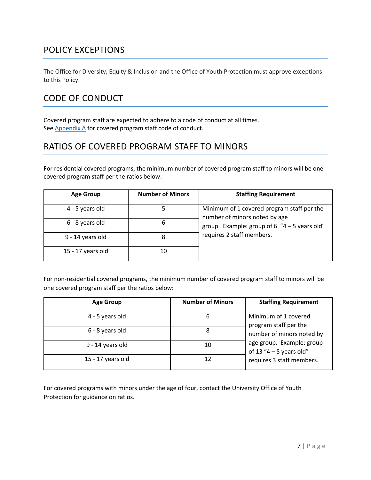# POLICY EXCEPTIONS

The Office for Diversity, Equity & Inclusion and the Office of Youth Protection must approve exceptions to this Policy.

# CODE OF CONDUCT

Covered program staff are expected to adhere to a code of conduct at all times. Se[e Appendix A](#page-11-0) for covered program staff code of conduct.

# RATIOS OF COVERED PROGRAM STAFF TO MINORS

For residential covered programs, the minimum number of covered program staff to minors will be one covered program staff per the ratios below:

| <b>Age Group</b>  | <b>Number of Minors</b> | <b>Staffing Requirement</b>                                                 |  |
|-------------------|-------------------------|-----------------------------------------------------------------------------|--|
| 4 - 5 years old   |                         | Minimum of 1 covered program staff per the<br>number of minors noted by age |  |
| 6 - 8 years old   | 6                       | group. Example: group of 6 $4 - 5$ years old"                               |  |
| 9 - 14 years old  | 8                       | requires 2 staff members.                                                   |  |
| 15 - 17 years old | 10                      |                                                                             |  |

For non-residential covered programs, the minimum number of covered program staff to minors will be one covered program staff per the ratios below:

| <b>Age Group</b>  | <b>Number of Minors</b> | <b>Staffing Requirement</b>                                                                                                                                     |
|-------------------|-------------------------|-----------------------------------------------------------------------------------------------------------------------------------------------------------------|
| 4 - 5 years old   | 6                       | Minimum of 1 covered<br>program staff per the<br>number of minors noted by<br>age group. Example: group<br>of 13 "4 – 5 years old"<br>requires 3 staff members. |
| 6 - 8 years old   | 8                       |                                                                                                                                                                 |
| 9 - 14 years old  | 10                      |                                                                                                                                                                 |
| 15 - 17 years old | 12                      |                                                                                                                                                                 |

For covered programs with minors under the age of four, contact the University Office of Youth Protection for guidance on ratios.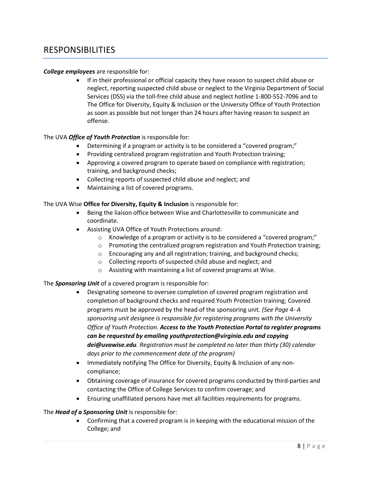### RESPONSIBILITIES

#### *College employees* are responsible for:

• If in their professional or official capacity they have reason to suspect child abuse or neglect, reporting suspected child abuse or neglect to the Virginia Department of Social Services (DSS) via the toll-free child abuse and neglect hotline 1-800-552-7096 and to The Office for Diversity, Equity & Inclusion or the University Office of Youth Protection as soon as possible but not longer than 24 hours after having reason to suspect an offense.

#### The UVA *Office of Youth Protection* is responsible for:

- Determining if a program or activity is to be considered a "covered program;"
- Providing centralized program registration and Youth Protection training;
- Approving a covered program to operate based on compliance with registration; training, and background checks;
- Collecting reports of suspected child abuse and neglect; and
- Maintaining a list of covered programs.

#### The UVA Wise **Office for Diversity, Equity & Inclusion** is responsible for:

- Being the liaison office between Wise and Charlottesville to communicate and coordinate.
- Assisting UVA Office of Youth Protections around:
	- o Knowledge of a program or activity is to be considered a "covered program;"
	- o Promoting the centralized program registration and Youth Protection training;
	- o Encouraging any and all registration; training, and background checks;
	- o Collecting reports of suspected child abuse and neglect; and
	- o Assisting with maintaining a list of covered programs at Wise.

#### The *Sponsoring Unit* of a covered program is responsible for:

- Designating someone to oversee completion of covered program registration and completion of background checks and required Youth Protection training; Covered programs must be approved by the head of the sponsoring unit*. (See Page 4- A sponsoring unit designee is responsible for registering programs with the University Office of Youth Protection. Access to the Youth Protection Portal to register programs can be requested by emailing youthprotection@virginia.edu and copying dei@uvawise.edu. Registration must be completed no later than thirty (30) calendar days prior to the commencement date of the program)*
- Immediately notifying The Office for Diversity, Equity & Inclusion of any noncompliance;
- Obtaining coverage of insurance for covered programs conducted by third-parties and contacting the Office of College Services to confirm coverage; and
- Ensuring unaffiliated persons have met all facilities requirements for programs.

#### The *Head of a Sponsoring Unit* is responsible for:

• Confirming that a covered program is in keeping with the educational mission of the College; and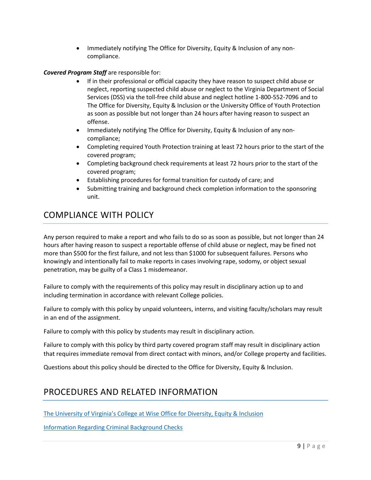• Immediately notifying The Office for Diversity, Equity & Inclusion of any noncompliance.

### *Covered Program Staff* are responsible for:

- If in their professional or official capacity they have reason to suspect child abuse or neglect, reporting suspected child abuse or neglect to the Virginia Department of Social Services (DSS) via the toll-free child abuse and neglect hotline 1-800-552-7096 and to The Office for Diversity, Equity & Inclusion or the University Office of Youth Protection as soon as possible but not longer than 24 hours after having reason to suspect an offense.
- Immediately notifying The Office for Diversity, Equity & Inclusion of any noncompliance;
- Completing required Youth Protection training at least 72 hours prior to the start of the covered program;
- Completing background check requirements at least 72 hours prior to the start of the covered program;
- Establishing procedures for formal transition for custody of care; and
- Submitting training and background check completion information to the sponsoring unit.

# COMPLIANCE WITH POLICY

Any person required to make a report and who fails to do so as soon as possible, but not longer than 24 hours after having reason to suspect a reportable offense of child abuse or neglect, may be fined not more than \$500 for the first failure, and not less than \$1000 for subsequent failures. Persons who knowingly and intentionally fail to make reports in cases involving rape, sodomy, or object sexual penetration, may be guilty of a Class 1 misdemeanor.

Failure to comply with the requirements of this policy may result in disciplinary action up to and including termination in accordance with relevant College policies.

Failure to comply with this policy by unpaid volunteers, interns, and visiting faculty/scholars may result in an end of the assignment.

Failure to comply with this policy by students may result in disciplinary action.

Failure to comply with this policy by third party covered program staff may result in disciplinary action that requires immediate removal from direct contact with minors, and/or College property and facilities.

Questions about this policy should be directed to the Office for Diversity, Equity & Inclusion.

### PROCEDURES AND RELATED INFORMATION

[The University of Virginia's College at Wise](https://www.uvawise.edu/about/leadership/inclusion) Office for Diversity, Equity & Inclusion

[Information Regarding Criminal Background Checks](https://www.uvawise.edu/wp-content/uploads/2017/04/2017-Staff-Handbook.pdf)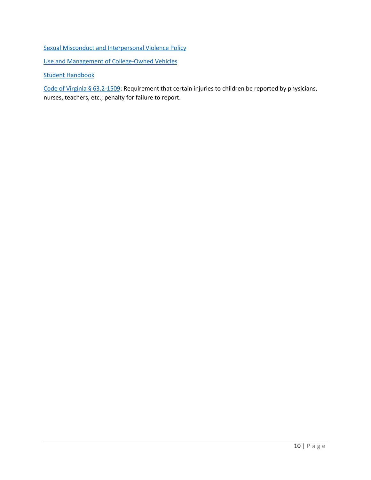[Sexual Misconduct and Interpersonal Violence Policy](https://www.uvawise.edu/wp-content/uploads/2015/08/Sexual-Misconduct-and-Interpersonal-Violence-PolicyFINAL.pdf)

[Use and Management of College-Owned Vehicles](https://www.uvawise.edu/wp-content/uploads/2017/04/2017-Staff-Handbook.pdf)

[Student Handbook](https://www.uvawise.edu/wp-content/uploads/2018/09/uvawise-student-handbook-2018-2019.pdf)

Code of Virginia § 63.2-1509: Requirement that certain injuries to children be reported by physicians, nurses, teachers, etc.; penalty for failure to report.